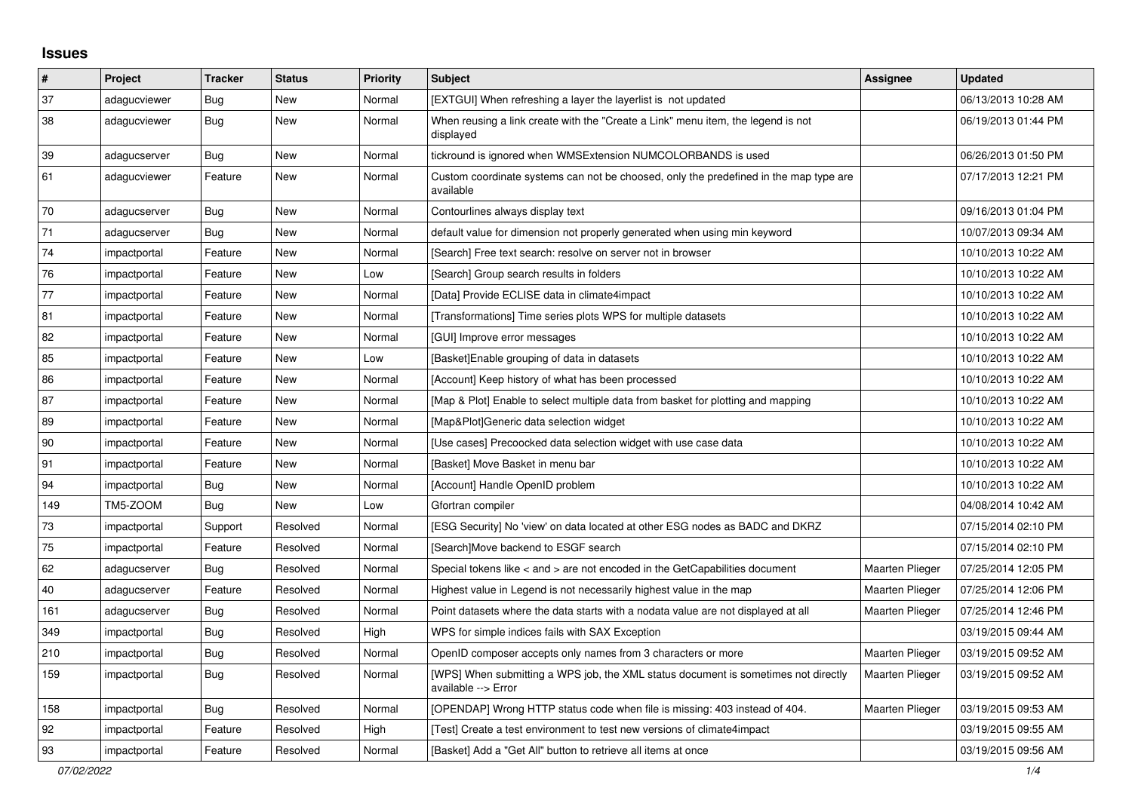## **Issues**

| #   | Project      | <b>Tracker</b> | <b>Status</b> | <b>Priority</b> | <b>Subject</b>                                                                                            | <b>Assignee</b>        | <b>Updated</b>      |
|-----|--------------|----------------|---------------|-----------------|-----------------------------------------------------------------------------------------------------------|------------------------|---------------------|
| 37  | adagucviewer | Bug            | New           | Normal          | [EXTGUI] When refreshing a layer the layerlist is not updated                                             |                        | 06/13/2013 10:28 AM |
| 38  | adagucviewer | Bug            | <b>New</b>    | Normal          | When reusing a link create with the "Create a Link" menu item, the legend is not<br>displayed             |                        | 06/19/2013 01:44 PM |
| 39  | adagucserver | Bug            | New           | Normal          | tickround is ignored when WMSExtension NUMCOLORBANDS is used                                              |                        | 06/26/2013 01:50 PM |
| 61  | adagucviewer | Feature        | <b>New</b>    | Normal          | Custom coordinate systems can not be choosed, only the predefined in the map type are<br>available        |                        | 07/17/2013 12:21 PM |
| 70  | adagucserver | Bug            | New           | Normal          | Contourlines always display text                                                                          |                        | 09/16/2013 01:04 PM |
| 71  | adagucserver | Bug            | <b>New</b>    | Normal          | default value for dimension not properly generated when using min keyword                                 |                        | 10/07/2013 09:34 AM |
| 74  | impactportal | Feature        | <b>New</b>    | Normal          | [Search] Free text search: resolve on server not in browser                                               |                        | 10/10/2013 10:22 AM |
| 76  | impactportal | Feature        | New           | Low             | [Search] Group search results in folders                                                                  |                        | 10/10/2013 10:22 AM |
| 77  | impactportal | Feature        | New           | Normal          | [Data] Provide ECLISE data in climate4impact                                                              |                        | 10/10/2013 10:22 AM |
| 81  | impactportal | Feature        | <b>New</b>    | Normal          | [Transformations] Time series plots WPS for multiple datasets                                             |                        | 10/10/2013 10:22 AM |
| 82  | impactportal | Feature        | New           | Normal          | [GUI] Improve error messages                                                                              |                        | 10/10/2013 10:22 AM |
| 85  | impactportal | Feature        | New           | Low             | [Basket] Enable grouping of data in datasets                                                              |                        | 10/10/2013 10:22 AM |
| 86  | impactportal | Feature        | <b>New</b>    | Normal          | [Account] Keep history of what has been processed                                                         |                        | 10/10/2013 10:22 AM |
| 87  | impactportal | Feature        | New           | Normal          | [Map & Plot] Enable to select multiple data from basket for plotting and mapping                          |                        | 10/10/2013 10:22 AM |
| 89  | impactportal | Feature        | New           | Normal          | [Map&Plot]Generic data selection widget                                                                   |                        | 10/10/2013 10:22 AM |
| 90  | impactportal | Feature        | New           | Normal          | [Use cases] Precoocked data selection widget with use case data                                           |                        | 10/10/2013 10:22 AM |
| 91  | impactportal | Feature        | New           | Normal          | [Basket] Move Basket in menu bar                                                                          |                        | 10/10/2013 10:22 AM |
| 94  | impactportal | Bug            | New           | Normal          | [Account] Handle OpenID problem                                                                           |                        | 10/10/2013 10:22 AM |
| 149 | TM5-ZOOM     | <b>Bug</b>     | <b>New</b>    | Low             | Gfortran compiler                                                                                         |                        | 04/08/2014 10:42 AM |
| 73  | impactportal | Support        | Resolved      | Normal          | [ESG Security] No 'view' on data located at other ESG nodes as BADC and DKRZ                              |                        | 07/15/2014 02:10 PM |
| 75  | impactportal | Feature        | Resolved      | Normal          | [Search]Move backend to ESGF search                                                                       |                        | 07/15/2014 02:10 PM |
| 62  | adagucserver | Bug            | Resolved      | Normal          | Special tokens like < and > are not encoded in the GetCapabilities document                               | Maarten Plieger        | 07/25/2014 12:05 PM |
| 40  | adagucserver | Feature        | Resolved      | Normal          | Highest value in Legend is not necessarily highest value in the map                                       | <b>Maarten Plieger</b> | 07/25/2014 12:06 PM |
| 161 | adagucserver | Bug            | Resolved      | Normal          | Point datasets where the data starts with a nodata value are not displayed at all                         | <b>Maarten Plieger</b> | 07/25/2014 12:46 PM |
| 349 | impactportal | Bug            | Resolved      | High            | WPS for simple indices fails with SAX Exception                                                           |                        | 03/19/2015 09:44 AM |
| 210 | impactportal | <b>Bug</b>     | Resolved      | Normal          | OpenID composer accepts only names from 3 characters or more                                              | <b>Maarten Plieger</b> | 03/19/2015 09:52 AM |
| 159 | impactportal | Bug            | Resolved      | Normal          | [WPS] When submitting a WPS job, the XML status document is sometimes not directly<br>available --> Error | <b>Maarten Plieger</b> | 03/19/2015 09:52 AM |
| 158 | impactportal | Bug            | Resolved      | Normal          | [OPENDAP] Wrong HTTP status code when file is missing: 403 instead of 404.                                | <b>Maarten Plieger</b> | 03/19/2015 09:53 AM |
| 92  | impactportal | Feature        | Resolved      | High            | [Test] Create a test environment to test new versions of climate4impact                                   |                        | 03/19/2015 09:55 AM |
| 93  | impactportal | Feature        | Resolved      | Normal          | [Basket] Add a "Get All" button to retrieve all items at once                                             |                        | 03/19/2015 09:56 AM |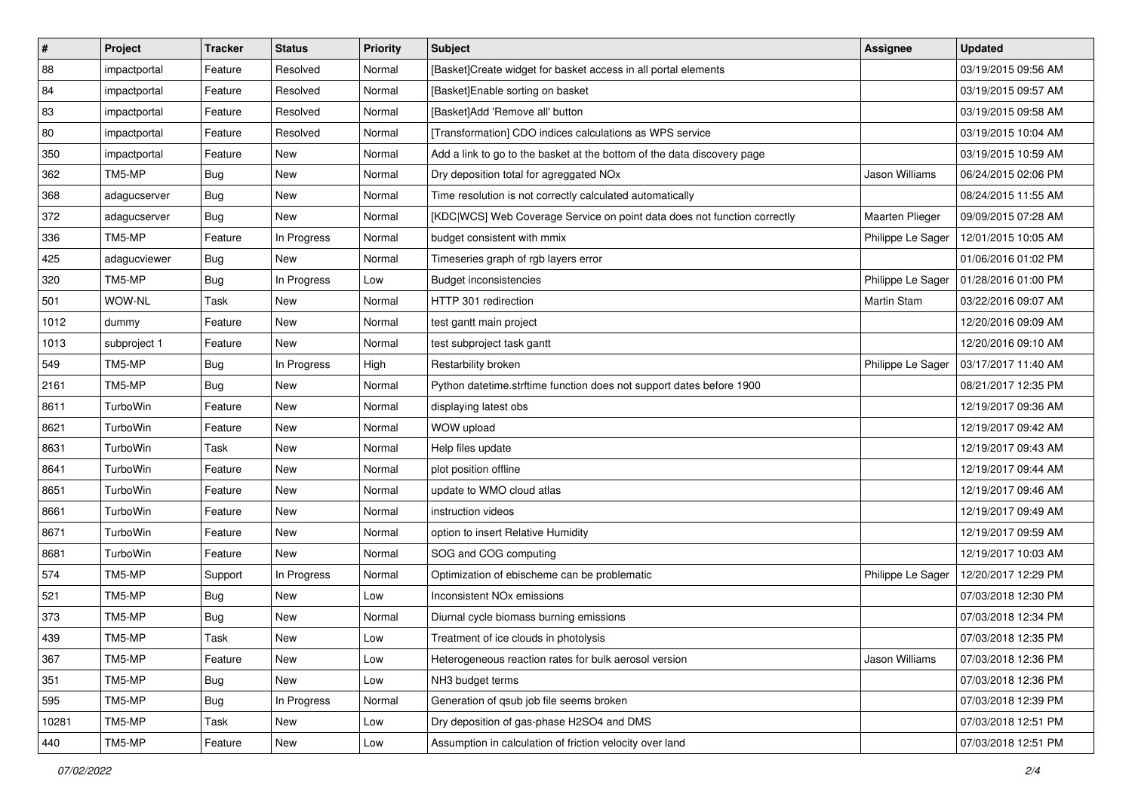| $\pmb{\#}$ | Project      | <b>Tracker</b> | <b>Status</b> | Priority | <b>Subject</b>                                                           | Assignee               | <b>Updated</b>      |
|------------|--------------|----------------|---------------|----------|--------------------------------------------------------------------------|------------------------|---------------------|
| 88         | impactportal | Feature        | Resolved      | Normal   | [Basket]Create widget for basket access in all portal elements           |                        | 03/19/2015 09:56 AM |
| 84         | impactportal | Feature        | Resolved      | Normal   | [Basket]Enable sorting on basket                                         |                        | 03/19/2015 09:57 AM |
| 83         | impactportal | Feature        | Resolved      | Normal   | [Basket]Add 'Remove all' button                                          |                        | 03/19/2015 09:58 AM |
| 80         | impactportal | Feature        | Resolved      | Normal   | [Transformation] CDO indices calculations as WPS service                 |                        | 03/19/2015 10:04 AM |
| 350        | impactportal | Feature        | <b>New</b>    | Normal   | Add a link to go to the basket at the bottom of the data discovery page  |                        | 03/19/2015 10:59 AM |
| 362        | TM5-MP       | <b>Bug</b>     | New           | Normal   | Dry deposition total for agreggated NOx                                  | Jason Williams         | 06/24/2015 02:06 PM |
| 368        | adagucserver | <b>Bug</b>     | New           | Normal   | Time resolution is not correctly calculated automatically                |                        | 08/24/2015 11:55 AM |
| 372        | adagucserver | <b>Bug</b>     | New           | Normal   | [KDC WCS] Web Coverage Service on point data does not function correctly | <b>Maarten Plieger</b> | 09/09/2015 07:28 AM |
| 336        | TM5-MP       | Feature        | In Progress   | Normal   | budget consistent with mmix                                              | Philippe Le Sager      | 12/01/2015 10:05 AM |
| 425        | adagucviewer | Bug            | New           | Normal   | Timeseries graph of rgb layers error                                     |                        | 01/06/2016 01:02 PM |
| 320        | TM5-MP       | <b>Bug</b>     | In Progress   | Low      | <b>Budget inconsistencies</b>                                            | Philippe Le Sager      | 01/28/2016 01:00 PM |
| 501        | WOW-NL       | Task           | New           | Normal   | HTTP 301 redirection                                                     | <b>Martin Stam</b>     | 03/22/2016 09:07 AM |
| 1012       | dummy        | Feature        | <b>New</b>    | Normal   | test gantt main project                                                  |                        | 12/20/2016 09:09 AM |
| 1013       | subproject 1 | Feature        | <b>New</b>    | Normal   | test subproject task gantt                                               |                        | 12/20/2016 09:10 AM |
| 549        | TM5-MP       | <b>Bug</b>     | In Progress   | High     | Restarbility broken                                                      | Philippe Le Sager      | 03/17/2017 11:40 AM |
| 2161       | TM5-MP       | Bug            | New           | Normal   | Python datetime.strftime function does not support dates before 1900     |                        | 08/21/2017 12:35 PM |
| 8611       | TurboWin     | Feature        | New           | Normal   | displaying latest obs                                                    |                        | 12/19/2017 09:36 AM |
| 8621       | TurboWin     | Feature        | New           | Normal   | WOW upload                                                               |                        | 12/19/2017 09:42 AM |
| 8631       | TurboWin     | Task           | New           | Normal   | Help files update                                                        |                        | 12/19/2017 09:43 AM |
| 8641       | TurboWin     | Feature        | <b>New</b>    | Normal   | plot position offline                                                    |                        | 12/19/2017 09:44 AM |
| 8651       | TurboWin     | Feature        | New           | Normal   | update to WMO cloud atlas                                                |                        | 12/19/2017 09:46 AM |
| 8661       | TurboWin     | Feature        | New           | Normal   | instruction videos                                                       |                        | 12/19/2017 09:49 AM |
| 8671       | TurboWin     | Feature        | New           | Normal   | option to insert Relative Humidity                                       |                        | 12/19/2017 09:59 AM |
| 8681       | TurboWin     | Feature        | <b>New</b>    | Normal   | SOG and COG computing                                                    |                        | 12/19/2017 10:03 AM |
| 574        | TM5-MP       | Support        | In Progress   | Normal   | Optimization of ebischeme can be problematic                             | Philippe Le Sager      | 12/20/2017 12:29 PM |
| 521        | TM5-MP       | Bug            | New           | Low      | Inconsistent NO <sub>x</sub> emissions                                   |                        | 07/03/2018 12:30 PM |
| 373        | TM5-MP       | <b>Bug</b>     | New           | Normal   | Diurnal cycle biomass burning emissions                                  |                        | 07/03/2018 12:34 PM |
| 439        | TM5-MP       | Task           | New           | Low      | Treatment of ice clouds in photolysis                                    |                        | 07/03/2018 12:35 PM |
| 367        | TM5-MP       | Feature        | New           | Low      | Heterogeneous reaction rates for bulk aerosol version                    | Jason Williams         | 07/03/2018 12:36 PM |
| 351        | TM5-MP       | Bug            | New           | Low      | NH3 budget terms                                                         |                        | 07/03/2018 12:36 PM |
| 595        | TM5-MP       | <b>Bug</b>     | In Progress   | Normal   | Generation of qsub job file seems broken                                 |                        | 07/03/2018 12:39 PM |
| 10281      | TM5-MP       | Task           | New           | Low      | Dry deposition of gas-phase H2SO4 and DMS                                |                        | 07/03/2018 12:51 PM |
| 440        | TM5-MP       | Feature        | New           | Low      | Assumption in calculation of friction velocity over land                 |                        | 07/03/2018 12:51 PM |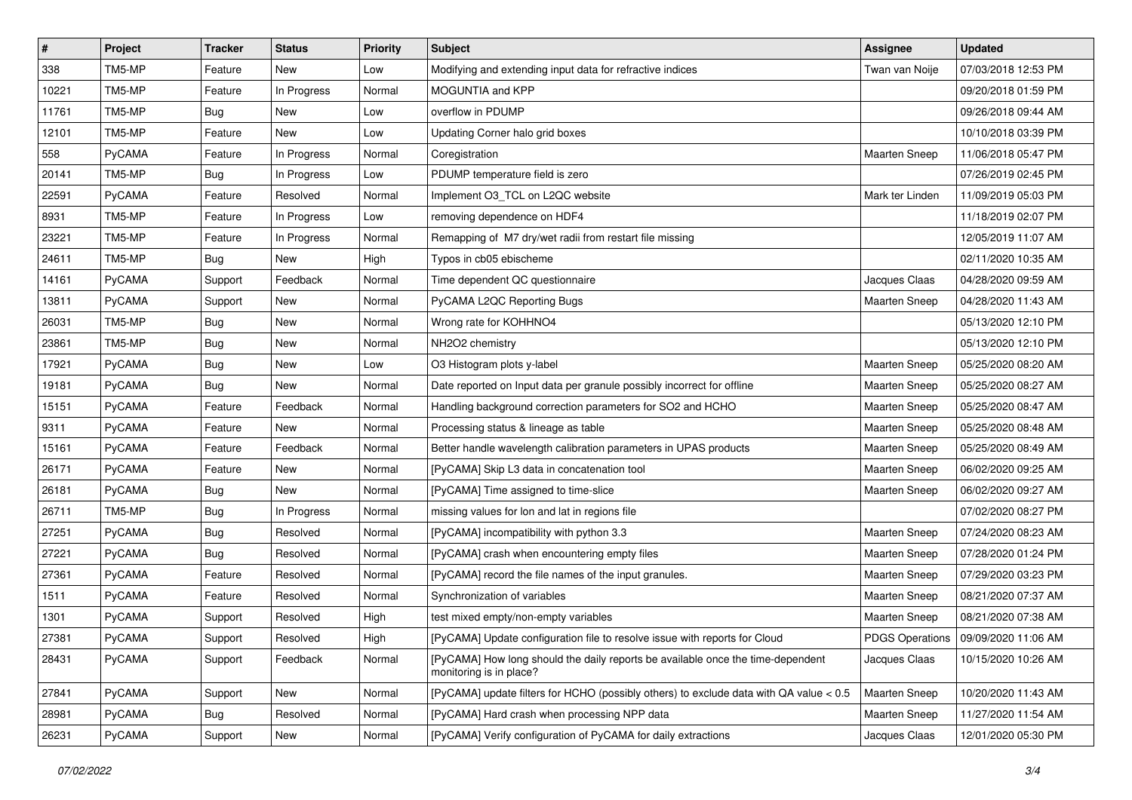| $\pmb{\#}$ | Project       | <b>Tracker</b> | <b>Status</b> | <b>Priority</b> | <b>Subject</b>                                                                                             | Assignee             | <b>Updated</b>                        |
|------------|---------------|----------------|---------------|-----------------|------------------------------------------------------------------------------------------------------------|----------------------|---------------------------------------|
| 338        | TM5-MP        | Feature        | New           | Low             | Modifying and extending input data for refractive indices                                                  | Twan van Noije       | 07/03/2018 12:53 PM                   |
| 10221      | TM5-MP        | Feature        | In Progress   | Normal          | MOGUNTIA and KPP                                                                                           |                      | 09/20/2018 01:59 PM                   |
| 11761      | TM5-MP        | Bug            | New           | Low             | overflow in PDUMP                                                                                          |                      | 09/26/2018 09:44 AM                   |
| 12101      | TM5-MP        | Feature        | New           | Low             | Updating Corner halo grid boxes                                                                            |                      | 10/10/2018 03:39 PM                   |
| 558        | PyCAMA        | Feature        | In Progress   | Normal          | Coregistration                                                                                             | <b>Maarten Sneep</b> | 11/06/2018 05:47 PM                   |
| 20141      | TM5-MP        | <b>Bug</b>     | In Progress   | Low             | PDUMP temperature field is zero                                                                            |                      | 07/26/2019 02:45 PM                   |
| 22591      | PyCAMA        | Feature        | Resolved      | Normal          | Implement O3 TCL on L2QC website                                                                           | Mark ter Linden      | 11/09/2019 05:03 PM                   |
| 8931       | TM5-MP        | Feature        | In Progress   | Low             | removing dependence on HDF4                                                                                |                      | 11/18/2019 02:07 PM                   |
| 23221      | TM5-MP        | Feature        | In Progress   | Normal          | Remapping of M7 dry/wet radii from restart file missing                                                    |                      | 12/05/2019 11:07 AM                   |
| 24611      | TM5-MP        | <b>Bug</b>     | New           | High            | Typos in cb05 ebischeme                                                                                    |                      | 02/11/2020 10:35 AM                   |
| 14161      | <b>PyCAMA</b> | Support        | Feedback      | Normal          | Time dependent QC questionnaire                                                                            | Jacques Claas        | 04/28/2020 09:59 AM                   |
| 13811      | PyCAMA        | Support        | New           | Normal          | PyCAMA L2QC Reporting Bugs                                                                                 | <b>Maarten Sneep</b> | 04/28/2020 11:43 AM                   |
| 26031      | TM5-MP        | <b>Bug</b>     | New           | Normal          | Wrong rate for KOHHNO4                                                                                     |                      | 05/13/2020 12:10 PM                   |
| 23861      | TM5-MP        | <b>Bug</b>     | New           | Normal          | NH2O2 chemistry                                                                                            |                      | 05/13/2020 12:10 PM                   |
| 17921      | PyCAMA        | <b>Bug</b>     | New           | Low             | O3 Histogram plots y-label                                                                                 | <b>Maarten Sneep</b> | 05/25/2020 08:20 AM                   |
| 19181      | PyCAMA        | <b>Bug</b>     | New           | Normal          | Date reported on Input data per granule possibly incorrect for offline                                     | <b>Maarten Sneep</b> | 05/25/2020 08:27 AM                   |
| 15151      | PyCAMA        | Feature        | Feedback      | Normal          | Handling background correction parameters for SO2 and HCHO                                                 | <b>Maarten Sneep</b> | 05/25/2020 08:47 AM                   |
| 9311       | PyCAMA        | Feature        | <b>New</b>    | Normal          | Processing status & lineage as table                                                                       | <b>Maarten Sneep</b> | 05/25/2020 08:48 AM                   |
| 15161      | PyCAMA        | Feature        | Feedback      | Normal          | Better handle wavelength calibration parameters in UPAS products                                           | Maarten Sneep        | 05/25/2020 08:49 AM                   |
| 26171      | PyCAMA        | Feature        | New           | Normal          | [PyCAMA] Skip L3 data in concatenation tool                                                                | <b>Maarten Sneep</b> | 06/02/2020 09:25 AM                   |
| 26181      | PyCAMA        | <b>Bug</b>     | New           | Normal          | [PyCAMA] Time assigned to time-slice                                                                       | Maarten Sneep        | 06/02/2020 09:27 AM                   |
| 26711      | TM5-MP        | Bug            | In Progress   | Normal          | missing values for lon and lat in regions file                                                             |                      | 07/02/2020 08:27 PM                   |
| 27251      | PyCAMA        | <b>Bug</b>     | Resolved      | Normal          | [PyCAMA] incompatibility with python 3.3                                                                   | <b>Maarten Sneep</b> | 07/24/2020 08:23 AM                   |
| 27221      | PyCAMA        | <b>Bug</b>     | Resolved      | Normal          | [PyCAMA] crash when encountering empty files                                                               | <b>Maarten Sneep</b> | 07/28/2020 01:24 PM                   |
| 27361      | PyCAMA        | Feature        | Resolved      | Normal          | [PyCAMA] record the file names of the input granules.                                                      | <b>Maarten Sneep</b> | 07/29/2020 03:23 PM                   |
| 1511       | <b>PyCAMA</b> | Feature        | Resolved      | Normal          | Synchronization of variables                                                                               | <b>Maarten Sneep</b> | 08/21/2020 07:37 AM                   |
| 1301       | PyCAMA        | Support        | Resolved      | High            | test mixed empty/non-empty variables                                                                       | <b>Maarten Sneep</b> | 08/21/2020 07:38 AM                   |
| 27381      | PyCAMA        | Support        | Resolved      | High            | [PyCAMA] Update configuration file to resolve issue with reports for Cloud                                 |                      | PDGS Operations   09/09/2020 11:06 AM |
| 28431      | <b>PyCAMA</b> | Support        | Feedback      | Normal          | [PyCAMA] How long should the daily reports be available once the time-dependent<br>monitoring is in place? | Jacques Claas        | 10/15/2020 10:26 AM                   |
| 27841      | PyCAMA        | Support        | New           | Normal          | [PyCAMA] update filters for HCHO (possibly others) to exclude data with QA value < 0.5                     | Maarten Sneep        | 10/20/2020 11:43 AM                   |
| 28981      | PyCAMA        | <b>Bug</b>     | Resolved      | Normal          | [PyCAMA] Hard crash when processing NPP data                                                               | <b>Maarten Sneep</b> | 11/27/2020 11:54 AM                   |
| 26231      | PyCAMA        | Support        | New           | Normal          | [PyCAMA] Verify configuration of PyCAMA for daily extractions                                              | Jacques Claas        | 12/01/2020 05:30 PM                   |